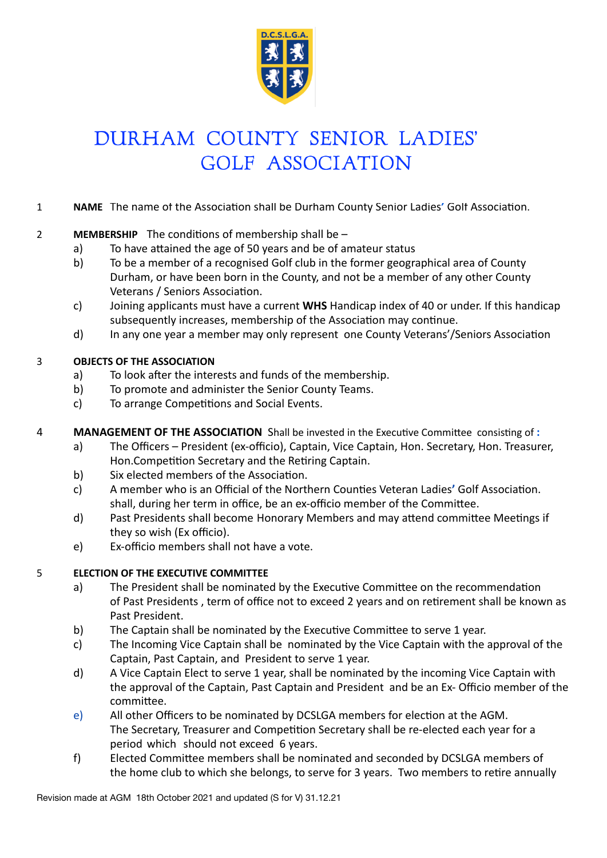

# DURHAM COUNTY SENIOR LADIES' **GOLF ASSOCIATION**

#### 1 **NAME** The name of the Association shall be Durham County Senior Ladies' Golf Association.

#### 2 **MEMBERSHIP** The conditions of membership shall be –

- a) To have attained the age of 50 years and be of amateur status
- b) To be a member of a recognised Golf club in the former geographical area of County Durham, or have been born in the County, and not be a member of any other County Veterans / Seniors Association.
- c) Joining applicants must have a current **WHS** Handicap index of 40 or under. If this handicap subsequently increases, membership of the Association may continue.
- d) In any one year a member may only represent one County Veterans'/Seniors Association

#### **3 OBJECTS OF THE ASSOCIATION**

- a) To look after the interests and funds of the membership.
- b) To promote and administer the Senior County Teams.
- c) To arrange Competitions and Social Events.
- 4 **MANAGEMENT OF THE ASSOCIATION** Shall be invested in the Executive Committee consisting of :
	- a) The Officers President (ex-officio), Captain, Vice Captain, Hon. Secretary, Hon. Treasurer, Hon.Competition Secretary and the Retiring Captain.
	- b) Six elected members of the Association.
	- c) A member who is an Official of the Northern Counties Veteran Ladies' Golf Association. shall, during her term in office, be an ex-officio member of the Committee.
	- d) Past Presidents shall become Honorary Members and may attend committee Meetings if they so wish (Ex officio).
	- e) Ex-officio members shall not have a vote.

#### **5 ELECTION OF THE EXECUTIVE COMMITTEE**

- a) The President shall be nominated by the Executive Committee on the recommendation of Past Presidents, term of office not to exceed 2 years and on retirement shall be known as Past President.
- b) The Captain shall be nominated by the Executive Committee to serve 1 year.
- c) The Incoming Vice Captain shall be nominated by the Vice Captain with the approval of the Captain, Past Captain, and President to serve 1 year.
- d) A Vice Captain Elect to serve 1 year, shall be nominated by the incoming Vice Captain with the approval of the Captain, Past Captain and President and be an Ex- Officio member of the committee.
- e) All other Officers to be nominated by DCSLGA members for election at the AGM. The Secretary, Treasurer and Competition Secretary shall be re-elected each year for a period which should not exceed 6 years.
- f) Elected Committee members shall be nominated and seconded by DCSLGA members of the home club to which she belongs, to serve for 3 years. Two members to retire annually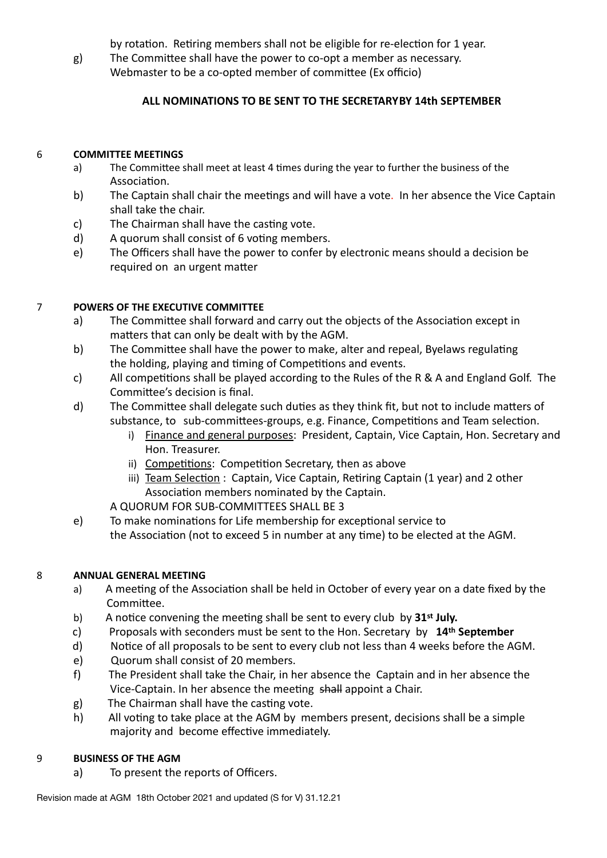by rotation. Retiring members shall not be eligible for re-election for 1 year.

g) The Committee shall have the power to co-opt a member as necessary. Webmaster to be a co-opted member of committee (Ex officio)

# ALL NOMINATIONS TO BE SENT TO THE SECRETARY BY 14th SEPTEMBER

# 6 **COMMITTEE MEETINGS**

- a) The Committee shall meet at least 4 times during the year to further the business of the Association.
- b) The Captain shall chair the meetings and will have a vote. In her absence the Vice Captain shall take the chair.
- c) The Chairman shall have the casting vote.
- d) A quorum shall consist of  $6$  voting members.
- e) The Officers shall have the power to confer by electronic means should a decision be required on an urgent matter

# **7** POWERS OF THE EXECUTIVE COMMITTEE

- a) The Committee shall forward and carry out the objects of the Association except in matters that can only be dealt with by the AGM.
- b) The Committee shall have the power to make, alter and repeal, Byelaws regulating the holding, playing and timing of Competitions and events.
- c) All competitions shall be played according to the Rules of the R & A and England Golf. The Committee's decision is final.
- d) The Committee shall delegate such duties as they think fit, but not to include matters of substance, to sub-committees-groups, e.g. Finance, Competitions and Team selection.
	- i) Finance and general purposes: President, Captain, Vice Captain, Hon. Secretary and Hon. Treasurer.
	- ii) Competitions: Competition Secretary, then as above
	- iii) Team Selection: Captain, Vice Captain, Retiring Captain (1 year) and 2 other Association members nominated by the Captain.

A QUORUM FOR SUB-COMMITTEES SHALL BE 3

e) To make nominations for Life membership for exceptional service to the Association (not to exceed 5 in number at any time) to be elected at the AGM.

# 8 **ANNUAL GENERAL MEETING**

- a) A meeting of the Association shall be held in October of every year on a date fixed by the Committee.
- b) A notice convening the meeting shall be sent to every club by 31<sup>st</sup> July.
- c) Proposals with seconders must be sent to the Hon. Secretary by 14<sup>th</sup> September
- d) Notice of all proposals to be sent to every club not less than 4 weeks before the AGM.
- e) Quorum shall consist of 20 members.
- f) The President shall take the Chair, in her absence the Captain and in her absence the Vice-Captain. In her absence the meeting shall appoint a Chair.
- g) The Chairman shall have the casting vote.
- h) All voting to take place at the AGM by members present, decisions shall be a simple majority and become effective immediately.

# **9 BUSINESS OF THE AGM**

a) To present the reports of Officers.

Revision made at AGM 18th October 2021 and updated (S for V) 31.12.21